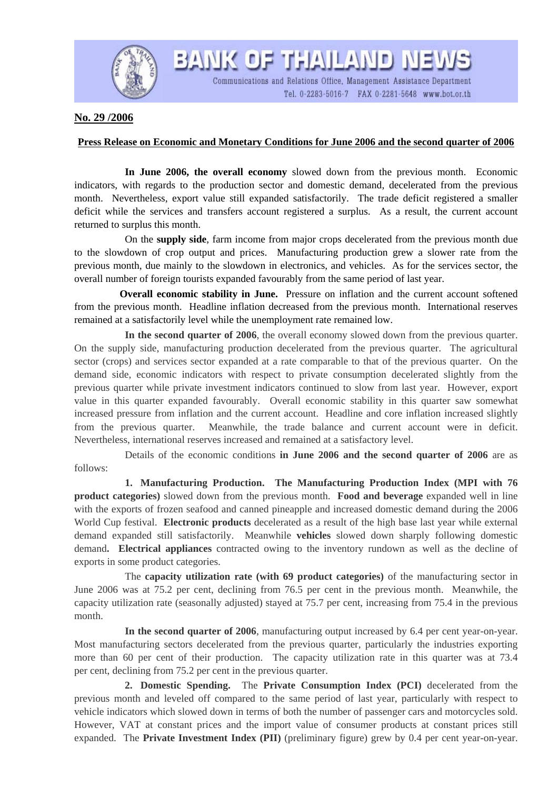

**No. 29 /2006**

## **Press Release on Economic and Monetary Conditions for June 2006 and the second quarter of 2006**

**BANK OF THAILAND NEWS** 

Communications and Relations Office, Management Assistance Department

Tel. 0-2283-5016-7 FAX 0-2281-5648 www.bot.or.th

 **In June 2006, the overall economy** slowed down from the previous month. Economic indicators, with regards to the production sector and domestic demand, decelerated from the previous month. Nevertheless, export value still expanded satisfactorily. The trade deficit registered a smaller deficit while the services and transfers account registered a surplus. As a result, the current account returned to surplus this month.

 On the **supply side**, farm income from major crops decelerated from the previous month due to the slowdown of crop output and prices. Manufacturing production grew a slower rate from the previous month, due mainly to the slowdown in electronics, and vehicles. As for the services sector, the overall number of foreign tourists expanded favourably from the same period of last year.

**Overall economic stability in June.** Pressure on inflation and the current account softened from the previous month. Headline inflation decreased from the previous month. International reserves remained at a satisfactorily level while the unemployment rate remained low.

**In the second quarter of 2006**, the overall economy slowed down from the previous quarter. On the supply side, manufacturing production decelerated from the previous quarter. The agricultural sector (crops) and services sector expanded at a rate comparable to that of the previous quarter. On the demand side, economic indicators with respect to private consumption decelerated slightly from the previous quarter while private investment indicators continued to slow from last year. However, export value in this quarter expanded favourably. Overall economic stability in this quarter saw somewhat increased pressure from inflation and the current account. Headline and core inflation increased slightly from the previous quarter. Meanwhile, the trade balance and current account were in deficit. Nevertheless, international reserves increased and remained at a satisfactory level.

Details of the economic conditions **in June 2006 and the second quarter of 2006** are as follows:

 **1. Manufacturing Production. The Manufacturing Production Index (MPI with 76 product categories)** slowed down from the previous month. **Food and beverage** expanded well in line with the exports of frozen seafood and canned pineapple and increased domestic demand during the 2006 World Cup festival. **Electronic products** decelerated as a result of the high base last year while external demand expanded still satisfactorily. Meanwhile **vehicles** slowed down sharply following domestic demand**. Electrical appliances** contracted owing to the inventory rundown as well as the decline of exports in some product categories.

 The **capacity utilization rate (with 69 product categories)** of the manufacturing sector in June 2006 was at 75.2 per cent, declining from 76.5 per cent in the previous month. Meanwhile, the capacity utilization rate (seasonally adjusted) stayed at 75.7 per cent, increasing from 75.4 in the previous month.

**In the second quarter of 2006**, manufacturing output increased by 6.4 per cent year-on-year. Most manufacturing sectors decelerated from the previous quarter, particularly the industries exporting more than 60 per cent of their production. The capacity utilization rate in this quarter was at 73.4 per cent, declining from 75.2 per cent in the previous quarter.

**2. Domestic Spending.** The **Private Consumption Index (PCI)** decelerated from the previous month and leveled off compared to the same period of last year, particularly with respect to vehicle indicators which slowed down in terms of both the number of passenger cars and motorcycles sold. However, VAT at constant prices and the import value of consumer products at constant prices still expanded. The **Private Investment Index (PII)** (preliminary figure) grew by 0.4 per cent year-on-year.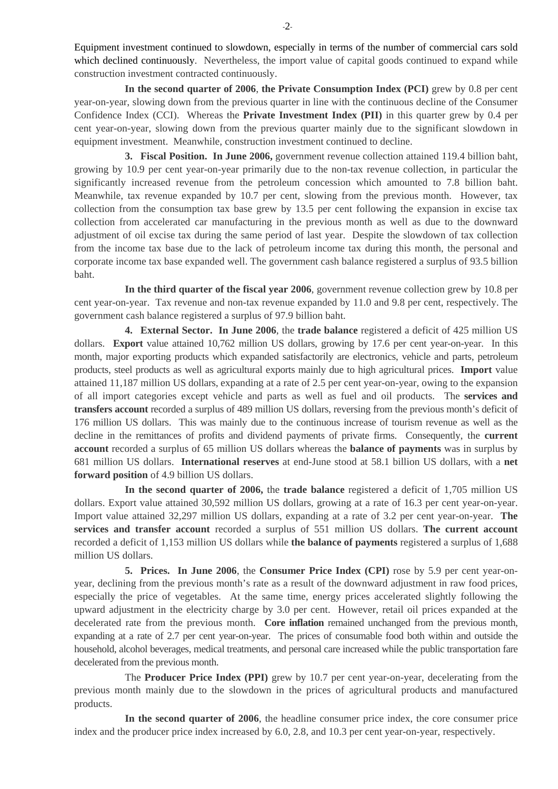Equipment investment continued to slowdown, especially in terms of the number of commercial cars sold which declined continuously. Nevertheless, the import value of capital goods continued to expand while construction investment contracted continuously.

**In the second quarter of 2006**, **the Private Consumption Index (PCI)** grew by 0.8 per cent year-on-year, slowing down from the previous quarter in line with the continuous decline of the Consumer Confidence Index (CCI). Whereas the **Private Investment Index (PII)** in this quarter grew by 0.4 per cent year-on-year, slowing down from the previous quarter mainly due to the significant slowdown in equipment investment. Meanwhile, construction investment continued to decline.

**3. Fiscal Position. In June 2006,** government revenue collection attained 119.4 billion baht, growing by 10.9 per cent year-on-year primarily due to the non-tax revenue collection, in particular the significantly increased revenue from the petroleum concession which amounted to 7.8 billion baht. Meanwhile, tax revenue expanded by 10.7 per cent, slowing from the previous month. However, tax collection from the consumption tax base grew by 13.5 per cent following the expansion in excise tax collection from accelerated car manufacturing in the previous month as well as due to the downward adjustment of oil excise tax during the same period of last year. Despite the slowdown of tax collection from the income tax base due to the lack of petroleum income tax during this month, the personal and corporate income tax base expanded well. The government cash balance registered a surplus of 93.5 billion baht.

**In the third quarter of the fiscal year 2006**, government revenue collection grew by 10.8 per cent year-on-year. Tax revenue and non-tax revenue expanded by 11.0 and 9.8 per cent, respectively. The government cash balance registered a surplus of 97.9 billion baht.

 **4. External Sector. In June 2006**, the **trade balance** registered a deficit of 425 million US dollars. **Export** value attained 10,762 million US dollars, growing by 17.6 per cent year-on-year. In this month, major exporting products which expanded satisfactorily are electronics, vehicle and parts, petroleum products, steel products as well as agricultural exports mainly due to high agricultural prices. **Import** value attained 11,187 million US dollars, expanding at a rate of 2.5 per cent year-on-year, owing to the expansion of all import categories except vehicle and parts as well as fuel and oil products. The **services and transfers account** recorded a surplus of 489 million US dollars, reversing from the previous month's deficit of 176 million US dollars. This was mainly due to the continuous increase of tourism revenue as well as the decline in the remittances of profits and dividend payments of private firms. Consequently, the **current account** recorded a surplus of 65 million US dollars whereas the **balance of payments** was in surplus by 681 million US dollars. **International reserves** at end-June stood at 58.1 billion US dollars, with a **net forward position** of 4.9 billion US dollars.

**In the second quarter of 2006,** the **trade balance** registered a deficit of 1,705 million US dollars. Export value attained 30,592 million US dollars, growing at a rate of 16.3 per cent year-on-year. Import value attained 32,297 million US dollars, expanding at a rate of 3.2 per cent year-on-year. **The services and transfer account** recorded a surplus of 551 million US dollars. **The current account** recorded a deficit of 1,153 million US dollars while **the balance of payments** registered a surplus of 1,688 million US dollars.

 **5. Prices. In June 2006**, the **Consumer Price Index (CPI)** rose by 5.9 per cent year-onyear, declining from the previous month's rate as a result of the downward adjustment in raw food prices, especially the price of vegetables. At the same time, energy prices accelerated slightly following the upward adjustment in the electricity charge by 3.0 per cent. However, retail oil prices expanded at the decelerated rate from the previous month. **Core inflation** remained unchanged from the previous month, expanding at a rate of 2.7 per cent year-on-year. The prices of consumable food both within and outside the household, alcohol beverages, medical treatments, and personal care increased while the public transportation fare decelerated from the previous month.

The **Producer Price Index (PPI)** grew by 10.7 per cent year-on-year, decelerating from the previous month mainly due to the slowdown in the prices of agricultural products and manufactured products.

**In the second quarter of 2006**, the headline consumer price index, the core consumer price index and the producer price index increased by 6.0, 2.8, and 10.3 per cent year-on-year, respectively.